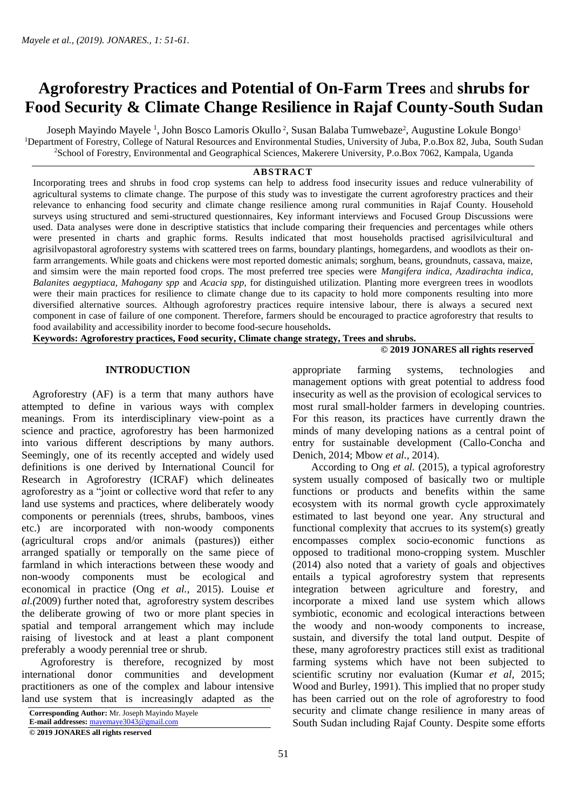# **Agroforestry Practices and Potential of On-Farm Trees** and **shrubs for Food Security & Climate Change Resilience in Rajaf County-South Sudan**

Joseph Mayindo Mayele<sup>1</sup>, John Bosco Lamoris Okullo<sup>2</sup>, Susan Balaba Tumwebaze<sup>2</sup>, Augustine Lokule Bongo<sup>1</sup> <sup>1</sup>Department of Forestry, College of Natural Resources and Environmental Studies, University of Juba, P.o.Box 82, Juba, South Sudan <sup>2</sup>School of Forestry, Environmental and Geographical Sciences, Makerere University, P.o.Box 7062, Kampala, Uganda

# **ABSTRACT**

Incorporating trees and shrubs in food crop systems can help to address food insecurity issues and reduce vulnerability of agricultural systems to climate change. The purpose of this study was to investigate the current agroforestry practices and their relevance to enhancing food security and climate change resilience among rural communities in Rajaf County. Household surveys using structured and semi-structured questionnaires, Key informant interviews and Focused Group Discussions were used. Data analyses were done in descriptive statistics that include comparing their frequencies and percentages while others were presented in charts and graphic forms. Results indicated that most households practised agrisilvicultural and agrisilvopastoral agroforestry systems with scattered trees on farms, boundary plantings, homegardens, and woodlots as their onfarm arrangements. While goats and chickens were most reported domestic animals; sorghum, beans, groundnuts, cassava, maize, and simsim were the main reported food crops. The most preferred tree species were *Mangifera indica, Azadirachta indica, Balanites aegyptiaca, Mahogany spp* and *Acacia spp*, for distinguished utilization. Planting more evergreen trees in woodlots were their main practices for resilience to climate change due to its capacity to hold more components resulting into more diversified alternative sources. Although agroforestry practices require intensive labour, there is always a secured next component in case of failure of one component. Therefore, farmers should be encouraged to practice agroforestry that results to food availability and accessibility inorder to become food-secure households**.**

**Keywords: Agroforestry practices, Food security, Climate change strategy, Trees and shrubs.**

#### **© 2019 JONARES all rights reserved**

#### **INTRODUCTION**

Agroforestry (AF) is a term that many authors have attempted to define in various ways with complex meanings. From its interdisciplinary view-point as a science and practice, agroforestry has been harmonized into various different descriptions by many authors. Seemingly, one of its recently accepted and widely used definitions is one derived by International Council for Research in Agroforestry (ICRAF) which delineates agroforestry as a "joint or collective word that refer to any land use systems and practices, where deliberately woody components or perennials (trees, shrubs, bamboos, vines etc.) are incorporated with non-woody components (agricultural crops and/or animals (pastures)) either arranged spatially or temporally on the same piece of farmland in which interactions between these woody and non-woody components must be ecological and economical in practice (Ong *et al.,* 2015). Louise *et al.(*2009) further noted that, agroforestry system describes the deliberate growing of two or more plant species in spatial and temporal arrangement which may include raising of livestock and at least a plant component preferably a woody perennial tree or shrub.

 Agroforestry is therefore, recognized by most international donor communities and development practitioners as one of the complex and labour intensive land use system that is increasingly adapted as the

**© 2019 JONARES all rights reserved**

appropriate farming systems, technologies and management options with great potential to address food insecurity as well as the provision of ecological services to most rural small-holder farmers in developing countries. For this reason, its practices have currently drawn the minds of many developing nations as a central point of entry for sustainable development (Callo-Concha and Denich, 2014; Mbow *et al.,* 2014).

 According to Ong *et al.* (2015), a typical agroforestry system usually composed of basically two or multiple functions or products and benefits within the same ecosystem with its normal growth cycle approximately estimated to last beyond one year. Any structural and functional complexity that accrues to its system(s) greatly encompasses complex socio-economic functions as opposed to traditional mono-cropping system. Muschler (2014) also noted that a variety of goals and objectives entails a typical agroforestry system that represents integration between agriculture and forestry, and incorporate a mixed land use system which allows symbiotic, economic and ecological interactions between the woody and non-woody components to increase, sustain, and diversify the total land output. Despite of these, many agroforestry practices still exist as traditional farming systems which have not been subjected to scientific scrutiny nor evaluation (Kumar *et al,* 2015; Wood and Burley, 1991). This implied that no proper study has been carried out on the role of agroforestry to food security and climate change resilience in many areas of South Sudan including Rajaf County. Despite some efforts

**Corresponding Author:** Mr. Joseph Mayindo Mayele **E-mail addresses:** [mayemaye3043@gmail.com](mailto:mayemaye3043@gmail.com)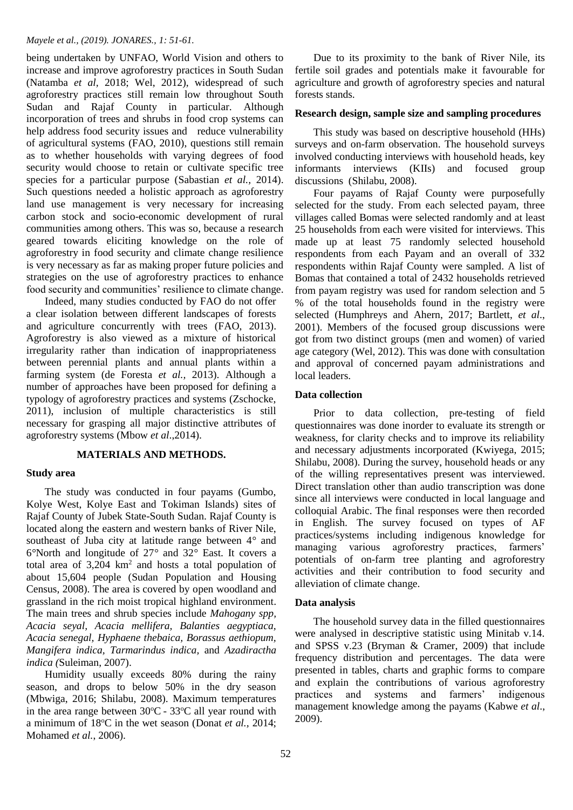being undertaken by UNFAO, World Vision and others to increase and improve agroforestry practices in South Sudan (Natamba *et al,* 2018; Wel, 2012), widespread of such agroforestry practices still remain low throughout South Sudan and Rajaf County in particular. Although incorporation of trees and shrubs in food crop systems can help address food security issues and reduce vulnerability of agricultural systems (FAO, 2010), questions still remain as to whether households with varying degrees of food security would choose to retain or cultivate specific tree species for a particular purpose (Sabastian *et al.,* 2014). Such questions needed a holistic approach as agroforestry land use management is very necessary for increasing carbon stock and socio-economic development of rural communities among others. This was so, because a research geared towards eliciting knowledge on the role of agroforestry in food security and climate change resilience is very necessary as far as making proper future policies and strategies on the use of agroforestry practices to enhance food security and communities' resilience to climate change.

 Indeed, many studies conducted by FAO do not offer a clear isolation between different landscapes of forests and agriculture concurrently with trees (FAO, 2013). Agroforestry is also viewed as a mixture of historical irregularity rather than indication of inappropriateness between perennial plants and annual plants within a farming system (de Foresta *et al.,* 2013). Although a number of approaches have been proposed for defining a typology of agroforestry practices and systems (Zschocke, 2011), inclusion of multiple characteristics is still necessary for grasping all major distinctive attributes of agroforestry systems (Mbow *et al*.,2014).

# **MATERIALS AND METHODS.**

#### **Study area**

 The study was conducted in four payams (Gumbo, Kolye West, Kolye East and Tokiman Islands) sites of Rajaf County of Jubek State-South Sudan. Rajaf County is located along the eastern and western banks of River Nile, southeast of Juba city at latitude range between 4*°* and 6*°*North and longitude of 27*°* and 32*°* East. It covers a total area of  $3,204 \text{ km}^2$  and hosts a total population of about 15,604 people (Sudan Population and Housing Census, 2008). The area is covered by open woodland and grassland in the rich moist tropical highland environment. The main trees and shrub species include *Mahogany spp, Acacia seyal, Acacia mellifera, Balanties aegyptiaca, Acacia senegal, Hyphaene thebaica, Borassus aethiopum, Mangifera indica, Tarmarindus indica,* and *Azadiractha indica (*Suleiman, 2007).

 Humidity usually exceeds 80% during the rainy season, and drops to below 50% in the dry season (Mbwiga, 2016; Shilabu, 2008). Maximum temperatures in the area range between  $30^{\circ}$ C -  $33^{\circ}$ C all year round with a minimum of 18<sup>o</sup>C in the wet season (Donat *et al.,* 2014; Mohamed *et al.*, 2006).

 Due to its proximity to the bank of River Nile, its fertile soil grades and potentials make it favourable for agriculture and growth of agroforestry species and natural forests stands.

#### **Research design, sample size and sampling procedures**

 This study was based on descriptive household (HHs) surveys and on-farm observation. The household surveys involved conducting interviews with household heads, key informants interviews (KIIs) and focused group discussions (Shilabu, 2008).

 Four payams of Rajaf County were purposefully selected for the study. From each selected payam, three villages called Bomas were selected randomly and at least 25 households from each were visited for interviews. This made up at least 75 randomly selected household respondents from each Payam and an overall of 332 respondents within Rajaf County were sampled. A list of Bomas that contained a total of 2432 households retrieved from payam registry was used for random selection and 5 % of the total households found in the registry were selected (Humphreys and Ahern, 2017; Bartlett, *et al*., 2001). Members of the focused group discussions were got from two distinct groups (men and women) of varied age category (Wel, 2012). This was done with consultation and approval of concerned payam administrations and local leaders.

#### **Data collection**

 Prior to data collection, pre-testing of field questionnaires was done inorder to evaluate its strength or weakness, for clarity checks and to improve its reliability and necessary adjustments incorporated (Kwiyega, 2015; Shilabu, 2008). During the survey, household heads or any of the willing representatives present was interviewed. Direct translation other than audio transcription was done since all interviews were conducted in local language and colloquial Arabic. The final responses were then recorded in English. The survey focused on types of AF practices/systems including indigenous knowledge for managing various agroforestry practices, farmers' potentials of on-farm tree planting and agroforestry activities and their contribution to food security and alleviation of climate change.

#### **Data analysis**

 The household survey data in the filled questionnaires were analysed in descriptive statistic using Minitab v.14. and SPSS v.23 (Bryman & Cramer, 2009) that include frequency distribution and percentages. The data were presented in tables, charts and graphic forms to compare and explain the contributions of various agroforestry practices and systems and farmers' indigenous management knowledge among the payams (Kabwe *et al*., 2009).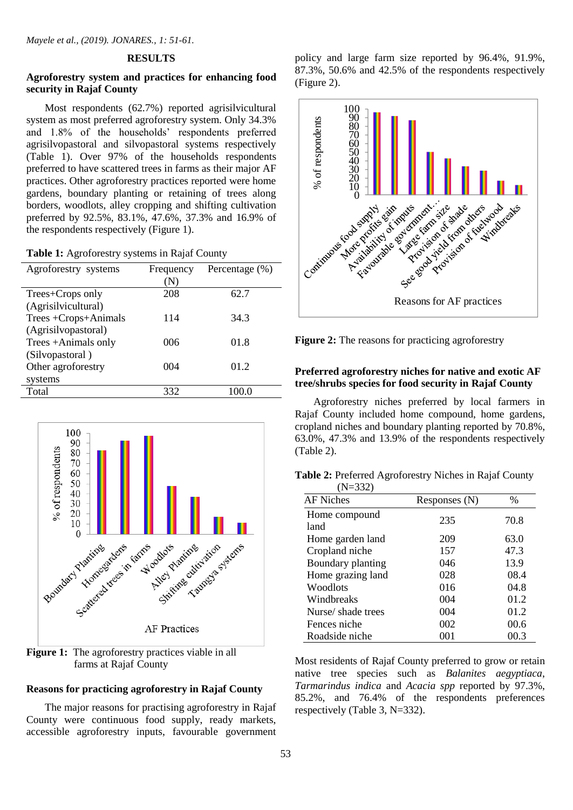#### **RESULTS**

## **Agroforestry system and practices for enhancing food security in Rajaf County**

 Most respondents (62.7%) reported agrisilvicultural system as most preferred agroforestry system. Only 34.3% and 1.8% of the households' respondents preferred agrisilvopastoral and silvopastoral systems respectively (Table 1). Over 97% of the households respondents preferred to have scattered trees in farms as their major AF practices. Other agroforestry practices reported were home gardens, boundary planting or retaining of trees along borders, woodlots, alley cropping and shifting cultivation preferred by 92.5%, 83.1%, 47.6%, 37.3% and 16.9% of the respondents respectively (Figure 1).

**Table 1:** Agroforestry systems in Rajaf County

| Agroforestry systems | Frequency | Percentage (%) |
|----------------------|-----------|----------------|
|                      | N)        |                |
| Trees+Crops only     | 208       | 62.7           |
| (Agrisilvicultural)  |           |                |
| Trees +Crops+Animals | 114       | 34.3           |
| (Agrisilvopastoral)  |           |                |
| Trees +Animals only  | 006       | 01.8           |
| (Silvopastoral)      |           |                |
| Other agroforestry   | 004       | 01.2           |
| systems              |           |                |
| Total                | 332       | 100.0          |



Figure 1: The agroforestry practices viable in all farms at Rajaf County

#### **Reasons for practicing agroforestry in Rajaf County**

 The major reasons for practising agroforestry in Rajaf County were continuous food supply, ready markets, accessible agroforestry inputs, favourable government

policy and large farm size reported by 96.4%, 91.9%, 87.3%, 50.6% and 42.5% of the respondents respectively (Figure 2).



**Figure 2:** The reasons for practicing agroforestry

#### **Preferred agroforestry niches for native and exotic AF tree/shrubs species for food security in Rajaf County**

 Agroforestry niches preferred by local farmers in Rajaf County included home compound, home gardens, cropland niches and boundary planting reported by 70.8%, 63.0%, 47.3% and 13.9% of the respondents respectively (Table 2).

**Table 2:** Preferred Agroforestry Niches in Rajaf County  $(N=332)$ 

| $11 - 33 - 1$         |               |      |
|-----------------------|---------------|------|
| <b>AF Niches</b>      | Responses (N) | $\%$ |
| Home compound<br>land | 235           | 70.8 |
| Home garden land      | 209           | 63.0 |
| Cropland niche        | 157           | 47.3 |
| Boundary planting     | 046           | 13.9 |
| Home grazing land     | 028           | 08.4 |
| Woodlots              | 016           | 04.8 |
| Windbreaks            | 004           | 01.2 |
| Nurse/shade trees     | 004           | 01.2 |
| Fences niche          | 002           | 00.6 |
| Roadside niche        | 001           | 00.3 |

Most residents of Rajaf County preferred to grow or retain native tree species such as *Balanites aegyptiaca*, *Tarmarindus indica* and *Acacia spp* reported by 97.3%, 85.2%, and 76.4% of the respondents preferences respectively (Table 3, N=332).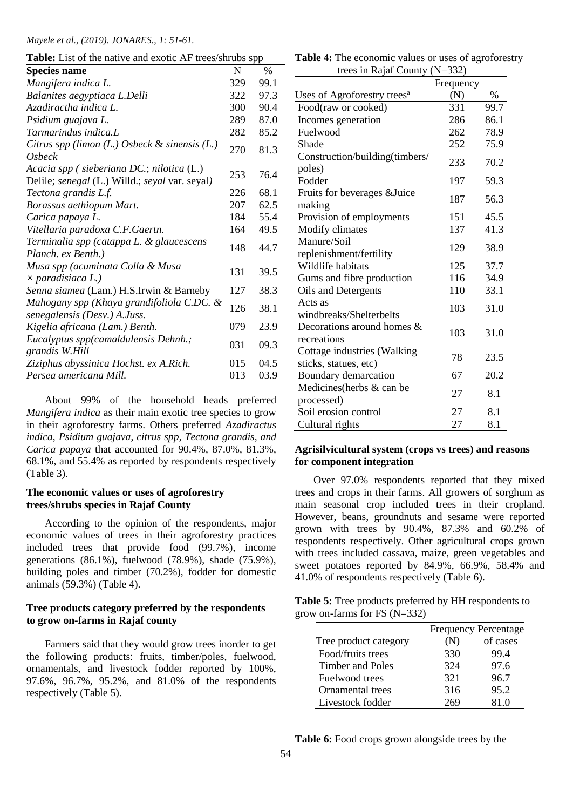**Table:** List of the native and exotic AF trees/shrubs spp

| <b>Species name</b>                                                        | $\mathbf N$ | $\%$ |
|----------------------------------------------------------------------------|-------------|------|
| Mangifera indica L.                                                        | 329         | 99.1 |
| Balanites aegyptiaca L.Delli                                               | 322         | 97.3 |
| Azadiractha indica L.                                                      | 300         | 90.4 |
| Psidium guajava L.                                                         | 289         | 87.0 |
| Tarmarindus indica.L                                                       | 282         | 85.2 |
| Citrus spp (limon $(L)$ ) Osbeck & sinensis $(L)$<br>Osbeck                | 270         | 81.3 |
| Acacia spp (sieberiana DC.; nilotica (L.)                                  | 253         | 76.4 |
| Delile; senegal (L.) Willd.; seyal var. seyal)<br>Tectona grandis L.f.     | 226         | 68.1 |
| Borassus aethiopum Mart.                                                   | 207         | 62.5 |
| Carica papaya L.                                                           | 184         | 55.4 |
| Vitellaria paradoxa C.F.Gaertn.                                            | 164         | 49.5 |
| Terminalia spp (catappa L. & glaucescens<br>Planch. ex Benth.)             | 148         | 44.7 |
| Musa spp (acuminata Colla & Musa<br>$\times$ paradisiaca L.)               | 131         | 39.5 |
| Senna siamea (Lam.) H.S.Irwin & Barneby                                    | 127         | 38.3 |
| Mahogany spp (Khaya grandifoliola C.DC. &<br>senegalensis (Desv.) A. Juss. | 126         | 38.1 |
| Kigelia africana (Lam.) Benth.                                             | 079         | 23.9 |
| Eucalyptus spp(camaldulensis Dehnh.;<br>grandis W.Hill                     | 031         | 09.3 |
| Ziziphus abyssinica Hochst. ex A.Rich.                                     | 015         | 04.5 |
| Persea americana Mill.                                                     | 013         | 03.9 |

 About 99% of the household heads preferred *Mangifera indica* as their main exotic tree species to grow in their agroforestry farms. Others preferred *Azadiractus indica*, *Psidium guajava*, *citrus spp*, *Tectona grandis, and Carica papaya* that accounted for 90.4%, 87.0%, 81.3%, 68.1%, and 55.4% as reported by respondents respectively (Table 3).

# **The economic values or uses of agroforestry trees/shrubs species in Rajaf County**

 According to the opinion of the respondents, major economic values of trees in their agroforestry practices included trees that provide food (99.7%), income generations (86.1%), fuelwood (78.9%), shade (75.9%), building poles and timber (70.2%), fodder for domestic animals (59.3%) (Table 4).

# **Tree products category preferred by the respondents to grow on-farms in Rajaf county**

 Farmers said that they would grow trees inorder to get the following products: fruits, timber/poles, fuelwood, ornamentals, and livestock fodder reported by 100%, 97.6%, 96.7%, 95.2%, and 81.0% of the respondents respectively (Table 5).

| <b>Table 4:</b> The economic values or uses of agroforestry<br>trees in Rajaf County ( $N=332$ ) |
|--------------------------------------------------------------------------------------------------|
| Frequency                                                                                        |

|                                                      | Frequency |      |
|------------------------------------------------------|-----------|------|
| Uses of Agroforestry trees <sup>a</sup>              | (N)       | $\%$ |
| Food(raw or cooked)                                  | 331       | 99.7 |
| Incomes generation                                   | 286       | 86.1 |
| Fuelwood                                             | 262       | 78.9 |
| Shade                                                | 252       | 75.9 |
| Construction/building(timbers/<br>poles)             | 233       | 70.2 |
| Fodder                                               | 197       | 59.3 |
| Fruits for beverages & Juice<br>making               | 187       | 56.3 |
| Provision of employments                             | 151       | 45.5 |
| Modify climates                                      | 137       | 41.3 |
| Manure/Soil<br>replenishment/fertility               | 129       | 38.9 |
| Wildlife habitats                                    | 125       | 37.7 |
| Gums and fibre production                            | 116       | 34.9 |
| Oils and Detergents                                  | 110       | 33.1 |
| Acts as<br>windbreaks/Shelterbelts                   | 103       | 31.0 |
| Decorations around homes &<br>recreations            | 103       | 31.0 |
| Cottage industries (Walking<br>sticks, statues, etc) | 78        | 23.5 |
| Boundary demarcation                                 | 67        | 20.2 |
| Medicines (herbs & can be                            | 27        | 8.1  |
| processed)                                           |           |      |
| Soil erosion control                                 | 27        | 8.1  |
| Cultural rights                                      | 27        | 8.1  |

# **Agrisilvicultural system (crops vs trees) and reasons for component integration**

 Over 97.0% respondents reported that they mixed trees and crops in their farms. All growers of sorghum as main seasonal crop included trees in their cropland. However, beans, groundnuts and sesame were reported grown with trees by 90.4%, 87.3% and 60.2% of respondents respectively. Other agricultural crops grown with trees included cassava, maize, green vegetables and sweet potatoes reported by 84.9%, 66.9%, 58.4% and 41.0% of respondents respectively (Table 6).

**Table 5:** Tree products preferred by HH respondents to grow on-farms for FS (N=332)

|                         | <b>Frequency Percentage</b> |          |  |
|-------------------------|-----------------------------|----------|--|
| Tree product category   |                             | of cases |  |
| Food/fruits trees       | 330                         | 994      |  |
| <b>Timber and Poles</b> | 324                         | 97.6     |  |
| Fuelwood trees          | 321                         | 96.7     |  |
| Ornamental trees        | 316                         | 95.2     |  |
| Livestock fodder        | 269                         | 81.0     |  |

**Table 6:** Food crops grown alongside trees by the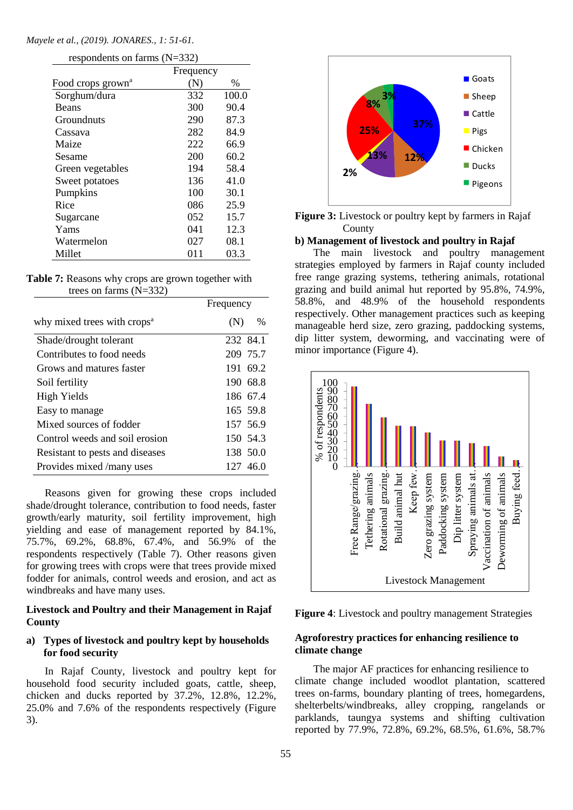| respondents on farms $(N=332)$ |           |       |  |  |
|--------------------------------|-----------|-------|--|--|
|                                | Frequency |       |  |  |
| Food crops grown <sup>a</sup>  | N)        | $\%$  |  |  |
| Sorghum/dura                   | 332       | 100.0 |  |  |
| Beans                          | 300       | 90.4  |  |  |
| Groundnuts                     | 290       | 87.3  |  |  |
| Cassava                        | 282       | 84.9  |  |  |
| Maize                          | 222       | 66.9  |  |  |
| Sesame                         | 200       | 60.2  |  |  |
| Green vegetables               | 194       | 58.4  |  |  |
| Sweet potatoes                 | 136       | 41.0  |  |  |
| Pumpkins                       | 100       | 30.1  |  |  |
| Rice                           | 086       | 25.9  |  |  |
| Sugarcane                      | 052       | 15.7  |  |  |
| Yams                           | 041       | 12.3  |  |  |
| Watermelon                     | 027       | 08.1  |  |  |
| Millet                         | 011       | 03.3  |  |  |

**Table 7:** Reasons why crops are grown together with trees on farms (N=332)

|                                         | Frequency            |
|-----------------------------------------|----------------------|
| why mixed trees with crops <sup>a</sup> | $\frac{0}{0}$<br>(N) |
| Shade/drought tolerant                  | 232 84.1             |
| Contributes to food needs               | 209 75.7             |
| Grows and matures faster                | 191 69.2             |
| Soil fertility                          | 190 68.8             |
| High Yields                             | 186 67.4             |
| Easy to manage                          | 165 59.8             |
| Mixed sources of fodder                 | 157 56.9             |
| Control weeds and soil erosion          | 150 54.3             |
| Resistant to pests and diseases         | 138 50.0             |
| Provides mixed /many uses               | 127 46.0             |

 Reasons given for growing these crops included shade/drought tolerance, contribution to food needs, faster growth/early maturity, soil fertility improvement, high yielding and ease of management reported by 84.1%, 75.7%, 69.2%, 68.8%, 67.4%, and 56.9% of the respondents respectively (Table 7). Other reasons given for growing trees with crops were that trees provide mixed fodder for animals, control weeds and erosion, and act as windbreaks and have many uses.

### **Livestock and Poultry and their Management in Rajaf County**

## **a) Types of livestock and poultry kept by households for food security**

 In Rajaf County, livestock and poultry kept for household food security included goats, cattle, sheep, chicken and ducks reported by 37.2%, 12.8%, 12.2%, 25.0% and 7.6% of the respondents respectively (Figure 3).



**Figure 3:** Livestock or poultry kept by farmers in Rajaf County

## **b) Management of livestock and poultry in Rajaf**

 The main livestock and poultry management strategies employed by farmers in Rajaf county included free range grazing systems, tethering animals, rotational grazing and build animal hut reported by 95.8%, 74.9%, 58.8%, and 48.9% of the household respondents respectively. Other management practices such as keeping manageable herd size, zero grazing, paddocking systems, dip litter system, deworming, and vaccinating were of minor importance (Figure 4).





#### **Agroforestry practices for enhancing resilience to climate change**

 The major AF practices for enhancing resilience to climate change included woodlot plantation, scattered trees on-farms, boundary planting of trees, homegardens, shelterbelts/windbreaks, alley cropping, rangelands or parklands, taungya systems and shifting cultivation reported by 77.9%, 72.8%, 69.2%, 68.5%, 61.6%, 58.7%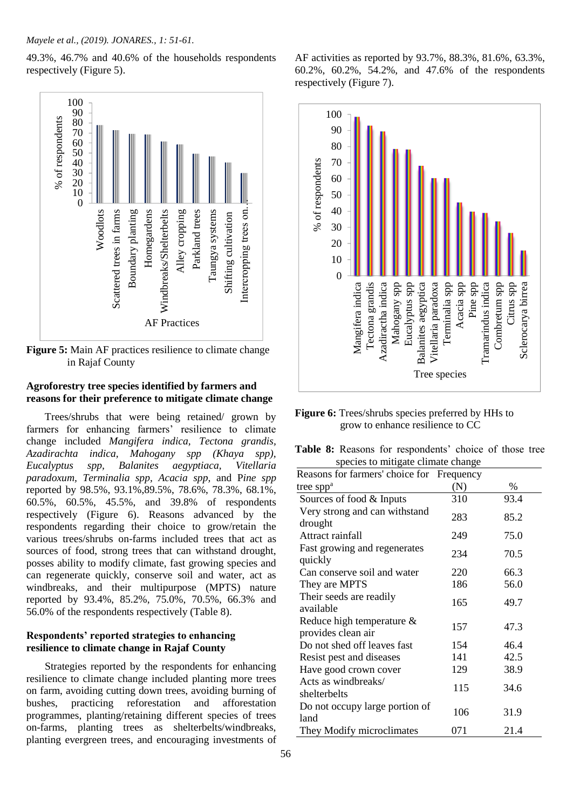49.3%, 46.7% and 40.6% of the households respondents respectively (Figure 5).



**Figure 5:** Main AF practices resilience to climate change in Rajaf County

# **Agroforestry tree species identified by farmers and reasons for their preference to mitigate climate change**

 Trees/shrubs that were being retained/ grown by farmers for enhancing farmers' resilience to climate change included *Mangifera indica, Tectona grandis, Azadirachta indica, Mahogany spp (Khaya spp), Eucalyptus spp, Balanites aegyptiaca, Vitellaria paradoxum, Terminalia spp, Acacia spp,* and P*ine spp*  reported by 98.5%, 93.1%,89.5%, 78.6%, 78.3%, 68.1%, 60.5%, 60.5%, 45.5%, and 39.8% of respondents respectively (Figure 6). Reasons advanced by the respondents regarding their choice to grow/retain the various trees/shrubs on-farms included trees that act as sources of food, strong trees that can withstand drought, posses ability to modify climate, fast growing species and can regenerate quickly, conserve soil and water, act as windbreaks, and their multipurpose (MPTS) nature reported by 93.4%, 85.2%, 75.0%, 70.5%, 66.3% and 56.0% of the respondents respectively (Table 8).

# **Respondents' reported strategies to enhancing resilience to climate change in Rajaf County**

 Strategies reported by the respondents for enhancing resilience to climate change included planting more trees on farm, avoiding cutting down trees, avoiding burning of bushes, practicing reforestation and afforestation programmes, planting/retaining different species of trees on-farms, planting trees as shelterbelts/windbreaks, planting evergreen trees, and encouraging investments of AF activities as reported by 93.7%, 88.3%, 81.6%, 63.3%, 60.2%, 60.2%, 54.2%, and 47.6% of the respondents respectively (Figure 7).



**Figure 6:** Trees/shrubs species preferred by HHs to grow to enhance resilience to CC

|  |  | Table 8: Reasons for respondents' choice of those tree |  |  |
|--|--|--------------------------------------------------------|--|--|
|  |  | species to mitigate climate change                     |  |  |

| species to mitigate emmate enange                  |     |      |
|----------------------------------------------------|-----|------|
| Reasons for farmers' choice for Frequency          |     |      |
| tree spp <sup>a</sup>                              | (N) | $\%$ |
| Sources of food & Inputs                           | 310 | 93.4 |
| Very strong and can withstand<br>drought           | 283 | 85.2 |
| Attract rainfall                                   | 249 | 75.0 |
| Fast growing and regenerates<br>quickly            | 234 | 70.5 |
| Can conserve soil and water                        | 220 | 66.3 |
| They are MPTS                                      | 186 | 56.0 |
| Their seeds are readily<br>available               | 165 | 49.7 |
| Reduce high temperature $\&$<br>provides clean air | 157 | 47.3 |
| Do not shed off leaves fast                        | 154 | 46.4 |
| Resist pest and diseases                           | 141 | 42.5 |
| Have good crown cover                              | 129 | 38.9 |
| Acts as windbreaks/<br>shelterbelts                | 115 | 34.6 |
| Do not occupy large portion of<br>land             | 106 | 31.9 |
| They Modify microclimates                          | 071 | 21.4 |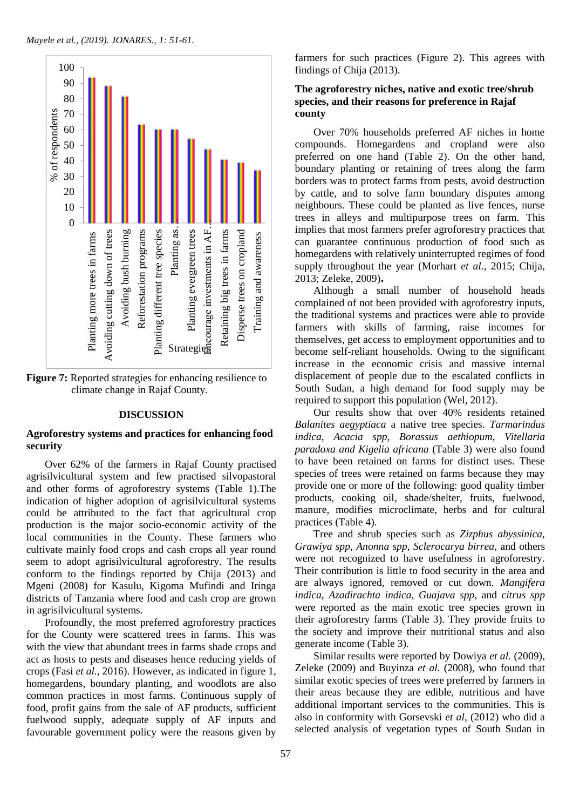

**Figure 7:** Reported strategies for enhancing resilience to climate change in Rajaf County.

#### **DISCUSSION**

#### **Agroforestry systems and practices for enhancing food security**

 Over 62% of the farmers in Rajaf County practised agrisilvicultural system and few practised silvopastoral and other forms of agroforestry systems (Table 1).The indication of higher adoption of agrisilvicultural systems could be attributed to the fact that agricultural crop production is the major socio-economic activity of the local communities in the County. These farmers who cultivate mainly food crops and cash crops all year round seem to adopt agrisilvicultural agroforestry. The results conform to the findings reported by Chija (2013) and Mgeni (2008) for Kasulu, Kigoma Mufindi and Iringa districts of Tanzania where food and cash crop are grown in agrisilvicultural systems.

 Profoundly, the most preferred agroforestry practices for the County were scattered trees in farms. This was with the view that abundant trees in farms shade crops and act as hosts to pests and diseases hence reducing yields of crops (Fasi *et al.,* 2016). However, as indicated in figure 1, homegardens, boundary planting, and woodlots are also common practices in most farms. Continuous supply of food, profit gains from the sale of AF products, sufficient fuelwood supply, adequate supply of AF inputs and favourable government policy were the reasons given by

farmers for such practices (Figure 2). This agrees with findings of Chija (2013).

# **The agroforestry niches, native and exotic tree/shrub species, and their reasons for preference in Rajaf county**

 Over 70% households preferred AF niches in home compounds. Homegardens and cropland were also preferred on one hand (Table 2). On the other hand, boundary planting or retaining of trees along the farm borders was to protect farms from pests, avoid destruction by cattle, and to solve farm boundary disputes among neighbours. These could be planted as live fences, nurse trees in alleys and multipurpose trees on farm. This implies that most farmers prefer agroforestry practices that can guarantee continuous production of food such as homegardens with relatively uninterrupted regimes of food supply throughout the year (Morhart *et al.,* 2015; Chija, 2013; Zeleke, 2009)**.** 

Although a small number of household heads complained of not been provided with agroforestry inputs, the traditional systems and practices were able to provide farmers with skills of farming, raise incomes for themselves, get access to employment opportunities and to become self-reliant households. Owing to the significant increase in the economic crisis and massive internal displacement of people due to the escalated conflicts in South Sudan, a high demand for food supply may be required to support this population (Wel, 2012).

 Our results show that over 40% residents retained *Balanites aegyptiaca* a native tree species. *Tarmarindus indica*, *Acacia spp, Borassus aethiopum*, *Vitellaria paradoxa and Kigelia africana* (Table 3) were also found to have been retained on farms for distinct uses. These species of trees were retained on farms because they may provide one or more of the following: good quality timber products, cooking oil, shade/shelter, fruits, fuelwood, manure, modifies microclimate, herbs and for cultural practices (Table 4).

 Tree and shrub species such as *Zizphus abyssinica, Grawiya spp, Anonna spp, Sclerocarya birrea*, and others were not recognized to have usefulness in agroforestry. Their contribution is little to food security in the area and are always ignored, removed or cut down. *Mangifera indica, Azadirachta indica*, *Guajava spp*, and *citrus spp*  were reported as the main exotic tree species grown in their agroforestry farms (Table 3). They provide fruits to the society and improve their nutritional status and also generate income (Table 3).

 Similar results were reported by Dowiya *et al.* (2009), Zeleke (2009) and Buyinza *et al.* (2008), who found that similar exotic species of trees were preferred by farmers in their areas because they are edible, nutritious and have additional important services to the communities. This is also in conformity with Gorsevski *et al,* (2012) who did a selected analysis of vegetation types of South Sudan in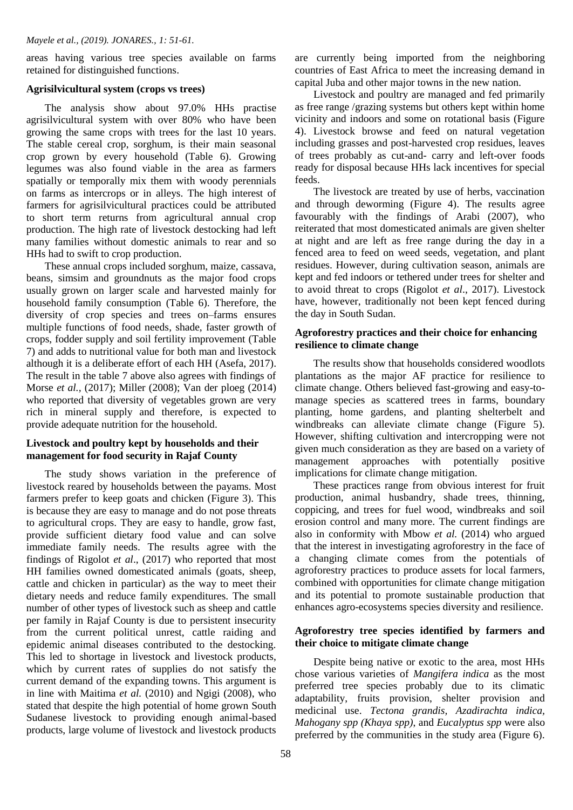areas having various tree species available on farms retained for distinguished functions.

#### **Agrisilvicultural system (crops vs trees)**

 The analysis show about 97.0% HHs practise agrisilvicultural system with over 80% who have been growing the same crops with trees for the last 10 years. The stable cereal crop, sorghum, is their main seasonal crop grown by every household (Table 6). Growing legumes was also found viable in the area as farmers spatially or temporally mix them with woody perennials on farms as intercrops or in alleys. The high interest of farmers for agrisilvicultural practices could be attributed to short term returns from agricultural annual crop production. The high rate of livestock destocking had left many families without domestic animals to rear and so HHs had to swift to crop production.

 These annual crops included sorghum, maize, cassava, beans, simsim and groundnuts as the major food crops usually grown on larger scale and harvested mainly for household family consumption (Table 6). Therefore, the diversity of crop species and trees on–farms ensures multiple functions of food needs, shade, faster growth of crops, fodder supply and soil fertility improvement (Table 7) and adds to nutritional value for both man and livestock although it is a deliberate effort of each HH (Asefa, 2017). The result in the table 7 above also agrees with findings of Morse *et al.,* (2017); Miller (2008); Van der ploeg (2014) who reported that diversity of vegetables grown are very rich in mineral supply and therefore, is expected to provide adequate nutrition for the household.

## **Livestock and poultry kept by households and their management for food security in Rajaf County**

 The study shows variation in the preference of livestock reared by households between the payams. Most farmers prefer to keep goats and chicken (Figure 3). This is because they are easy to manage and do not pose threats to agricultural crops. They are easy to handle, grow fast, provide sufficient dietary food value and can solve immediate family needs. The results agree with the findings of Rigolot *et al*., (2017) who reported that most HH families owned domesticated animals (goats, sheep, cattle and chicken in particular) as the way to meet their dietary needs and reduce family expenditures. The small number of other types of livestock such as sheep and cattle per family in Rajaf County is due to persistent insecurity from the current political unrest, cattle raiding and epidemic animal diseases contributed to the destocking. This led to shortage in livestock and livestock products, which by current rates of supplies do not satisfy the current demand of the expanding towns. This argument is in line with Maitima *et al.* (2010) and Ngigi (2008), who stated that despite the high potential of home grown South Sudanese livestock to providing enough animal-based products, large volume of livestock and livestock products

are currently being imported from the neighboring countries of East Africa to meet the increasing demand in capital Juba and other major towns in the new nation.

 Livestock and poultry are managed and fed primarily as free range /grazing systems but others kept within home vicinity and indoors and some on rotational basis (Figure 4). Livestock browse and feed on natural vegetation including grasses and post-harvested crop residues, leaves of trees probably as cut-and- carry and left-over foods ready for disposal because HHs lack incentives for special feeds.

 The livestock are treated by use of herbs, vaccination and through deworming (Figure 4). The results agree favourably with the findings of Arabi (2007), who reiterated that most domesticated animals are given shelter at night and are left as free range during the day in a fenced area to feed on weed seeds, vegetation, and plant residues. However, during cultivation season, animals are kept and fed indoors or tethered under trees for shelter and to avoid threat to crops (Rigolot *et al*., 2017). Livestock have, however, traditionally not been kept fenced during the day in South Sudan.

# **Agroforestry practices and their choice for enhancing resilience to climate change**

The results show that households considered woodlots plantations as the major AF practice for resilience to climate change. Others believed fast-growing and easy-tomanage species as scattered trees in farms, boundary planting, home gardens, and planting shelterbelt and windbreaks can alleviate climate change (Figure 5). However, shifting cultivation and intercropping were not given much consideration as they are based on a variety of management approaches with potentially positive implications for climate change mitigation.

 These practices range from obvious interest for fruit production, animal husbandry, shade trees, thinning, coppicing, and trees for fuel wood, windbreaks and soil erosion control and many more. The current findings are also in conformity with Mbow *et al.* (2014) who argued that the interest in investigating agroforestry in the face of a changing climate comes from the potentials of agroforestry practices to produce assets for local farmers, combined with opportunities for climate change mitigation and its potential to promote sustainable production that enhances agro-ecosystems species diversity and resilience.

## **Agroforestry tree species identified by farmers and their choice to mitigate climate change**

 Despite being native or exotic to the area, most HHs chose various varieties of *Mangifera indica* as the most preferred tree species probably due to its climatic adaptability, fruits provision, shelter provision and medicinal use. *Tectona grandis, Azadirachta indica, Mahogany spp (Khaya spp)*, and *Eucalyptus spp* were also preferred by the communities in the study area (Figure 6).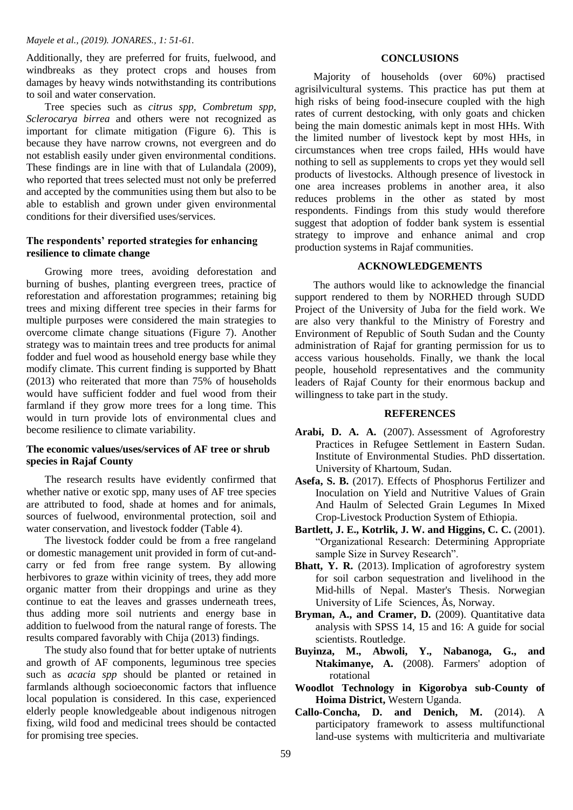Additionally, they are preferred for fruits, fuelwood, and windbreaks as they protect crops and houses from damages by heavy winds notwithstanding its contributions to soil and water conservation.

 Tree species such as *citrus spp, Combretum spp, Sclerocarya birrea* and others were not recognized as important for climate mitigation (Figure 6). This is because they have narrow crowns, not evergreen and do not establish easily under given environmental conditions. These findings are in line with that of Lulandala (2009), who reported that trees selected must not only be preferred and accepted by the communities using them but also to be able to establish and grown under given environmental conditions for their diversified uses/services.

# **The respondents' reported strategies for enhancing resilience to climate change**

 Growing more trees, avoiding deforestation and burning of bushes, planting evergreen trees, practice of reforestation and afforestation programmes; retaining big trees and mixing different tree species in their farms for multiple purposes were considered the main strategies to overcome climate change situations (Figure 7). Another strategy was to maintain trees and tree products for animal fodder and fuel wood as household energy base while they modify climate. This current finding is supported by Bhatt (2013) who reiterated that more than 75% of households would have sufficient fodder and fuel wood from their farmland if they grow more trees for a long time. This would in turn provide lots of environmental clues and become resilience to climate variability.

# **The economic values/uses/services of AF tree or shrub species in Rajaf County**

 The research results have evidently confirmed that whether native or exotic spp, many uses of AF tree species are attributed to food, shade at homes and for animals, sources of fuelwood, environmental protection, soil and water conservation, and livestock fodder (Table 4).

 The livestock fodder could be from a free rangeland or domestic management unit provided in form of cut-andcarry or fed from free range system. By allowing herbivores to graze within vicinity of trees, they add more organic matter from their droppings and urine as they continue to eat the leaves and grasses underneath trees, thus adding more soil nutrients and energy base in addition to fuelwood from the natural range of forests. The results compared favorably with Chija (2013) findings.

 The study also found that for better uptake of nutrients and growth of AF components, leguminous tree species such as *acacia spp* should be planted or retained in farmlands although socioeconomic factors that influence local population is considered. In this case, experienced elderly people knowledgeable about indigenous nitrogen fixing, wild food and medicinal trees should be contacted for promising tree species.

#### **CONCLUSIONS**

 Majority of households (over 60%) practised agrisilvicultural systems. This practice has put them at high risks of being food-insecure coupled with the high rates of current destocking, with only goats and chicken being the main domestic animals kept in most HHs. With the limited number of livestock kept by most HHs, in circumstances when tree crops failed, HHs would have nothing to sell as supplements to crops yet they would sell products of livestocks. Although presence of livestock in one area increases problems in another area, it also reduces problems in the other as stated by most respondents. Findings from this study would therefore suggest that adoption of fodder bank system is essential strategy to improve and enhance animal and crop production systems in Rajaf communities.

#### **ACKNOWLEDGEMENTS**

 The authors would like to acknowledge the financial support rendered to them by NORHED through SUDD Project of the University of Juba for the field work. We are also very thankful to the Ministry of Forestry and Environment of Republic of South Sudan and the County administration of Rajaf for granting permission for us to access various households. Finally, we thank the local people, household representatives and the community leaders of Rajaf County for their enormous backup and willingness to take part in the study.

#### **REFERENCES**

- **Arabi, D. A. A.** (2007). Assessment of Agroforestry Practices in Refugee Settlement in Eastern Sudan. Institute of Environmental Studies. PhD dissertation. University of Khartoum, Sudan.
- **Asefa, S. B.** (2017). Effects of Phosphorus Fertilizer and Inoculation on Yield and Nutritive Values of Grain And Haulm of Selected Grain Legumes In Mixed Crop-Livestock Production System of Ethiopia.
- **Bartlett, J. E., Kotrlik, J. W. and Higgins, C. C.** (2001). "Organizational Research: Determining Appropriate sample Size in Survey Research".
- **Bhatt, Y. R.** (2013). Implication of agroforestry system for soil carbon sequestration and livelihood in the Mid-hills of Nepal. Master's Thesis. Norwegian University of Life Sciences, Ås, Norway.
- **Bryman, A., and Cramer, D.** (2009). Quantitative data analysis with SPSS 14, 15 and 16: A guide for social scientists. Routledge.
- **Buyinza, M., Abwoli, Y., Nabanoga, G., and Ntakimanye, A.** (2008). Farmers' adoption of rotational
- **Woodlot Technology in Kigorobya sub-County of Hoima District,** Western Uganda.
- **Callo-Concha, D. and Denich, M.** (2014). A participatory framework to assess multifunctional land-use systems with multicriteria and multivariate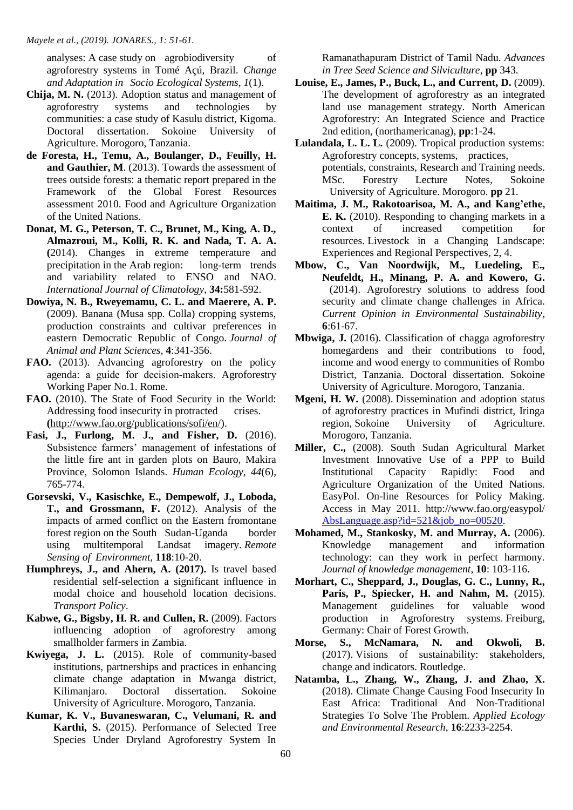analyses: A case study on agrobiodiversity of agroforestry systems in Tomé Açú, Brazil. *Change and Adaptation in Socio Ecological Systems*, *1*(1).

- **Chija, M. N.** (2013). Adoption status and management of agroforestry systems and technologies by communities: a case study of Kasulu district, Kigoma. Doctoral dissertation. Sokoine University of Agriculture. Morogoro, Tanzania.
- **de Foresta, H., Temu, A., Boulanger, D., Feuilly, H. and Gauthier, M**. (2013). Towards the assessment of trees outside forests: a thematic report prepared in the Framework of the Global Forest Resources assessment 2010. Food and Agriculture Organization of the United Nations.
- **Donat, M. G., Peterson, T. C., Brunet, M., King, A. D., Almazroui, M., Kolli, R. K. and Nada, T. A. A. (**2014). Changes in extreme temperature and precipitation in the Arab region: long-term trends and variability related to ENSO and NAO. *International Journal of Climatology*, **34:**581-592.
- **Dowiya, N. B., Rweyemamu, C. L. and Maerere, A. P.** (2009). Banana (Musa spp. Colla) cropping systems, production constraints and cultivar preferences in eastern Democratic Republic of Congo. *Journal of Animal and Plant Sciences*, **4**:341-356.
- **FAO.** (2013). Advancing agroforestry on the policy agenda: a guide for decision‐makers. Agroforestry Working Paper No.1. Rome.
- **FAO.** (2010). The State of Food Security in the World: Addressing food insecurity in protracted crises. **(**[http://www.fao.org/publications/sofi/en/\)](http://www.fao.org/publications/sofi/en/).
- **Fasi, J., Furlong, M. J., and Fisher, D.** (2016). Subsistence farmers' management of infestations of the little fire ant in garden plots on Bauro, Makira Province, Solomon Islands. *Human Ecology*, *44*(6), 765-774.
- **Gorsevski, V., Kasischke, E., Dempewolf, J., Loboda, T., and Grossmann, F.** (2012). Analysis of the impacts of armed conflict on the Eastern fromontane forest region on the South Sudan-Uganda border using multitemporal Landsat imagery. *Remote Sensing of Environment*, **118**:10-20.
- **Humphreys, J., and Ahern, A. (2017).** Is travel based residential self-selection a significant influence in modal choice and household location decisions. *Transport Policy*.
- **Kabwe, G., Bigsby, H. R. and Cullen, R.** (2009). Factors influencing adoption of agroforestry among smallholder farmers in Zambia.
- **Kwiyega, J. L.** (2015). Role of community-based institutions, partnerships and practices in enhancing climate change adaptation in Mwanga district, Kilimanjaro. Doctoral dissertation. Sokoine University of Agriculture. Morogoro, Tanzania.
- **Kumar, K. V., Buvaneswaran, C., Velumani, R. and Karthi, S.** (2015). Performance of Selected Tree Species Under Dryland Agroforestry System In

Ramanathapuram District of Tamil Nadu. *Advances in Tree Seed Science and Silviculture*, **pp** 343.

- **Louise, E., James, P., Buck, L., and Current, D.** (2009). The development of agroforestry as an integrated land use management strategy. North American Agroforestry: An Integrated Science and Practice 2nd edition, (northamericanag), **pp**:1-24.
- **Lulandala, L. L. L.** (2009). Tropical production systems: Agroforestry concepts, systems, practices, potentials, constraints, Research and Training needs. MSc. Forestry Lecture Notes, Sokoine University of Agriculture. Morogoro. **pp** 21.
- **Maitima, J. M., Rakotoarisoa, M. A., and Kang'ethe, E. K.** (2010). Responding to changing markets in a context of increased competition for resources. Livestock in a Changing Landscape: Experiences and Regional Perspectives, 2, 4.
- **Mbow, C., Van Noordwijk, M., Luedeling, E., Neufeldt, H., Minang, P. A. and Kowero, G.**  (2014). Agroforestry solutions to address food security and climate change challenges in Africa. *Current Opinion in Environmental Sustainability*, **6**:61-67.
- **Mbwiga, J.** (2016). Classification of chagga agroforestry homegardens and their contributions to food, income and wood energy to communities of Rombo District, Tanzania. Doctoral dissertation. Sokoine University of Agriculture. Morogoro, Tanzania.
- **Mgeni, H. W.** (2008). Dissemination and adoption status of agroforestry practices in Mufindi district, Iringa region, Sokoine University of Agriculture. Morogoro, Tanzania.
- **Miller, C.,** (2008). South Sudan Agricultural Market Investment Innovative Use of a PPP to Build Institutional Capacity Rapidly: Food and Agriculture Organization of the United Nations. EasyPol. On-line Resources for Policy Making. Access in May 2011. http://www.fao.org/easypol/ AbsLanguage.asp?id= $521\&$ job\_no=00520.
- **Mohamed, M., Stankosky, M. and Murray, A.** (2006). Knowledge management and information technology: can they work in perfect harmony. *Journal of knowledge management*, **10**: 103-116.
- **Morhart, C., Sheppard, J., Douglas, G. C., Lunny, R., Paris, P., Spiecker, H. and Nahm, M.** (2015). Management guidelines for valuable wood production in Agroforestry systems. Freiburg, Germany: Chair of Forest Growth.
- **Morse, S., McNamara, N. and Okwoli, B.** (2017). Visions of sustainability: stakeholders, change and indicators. Routledge.
- **Natamba, L., Zhang, W., Zhang, J. and Zhao, X.**  (2018). Climate Change Causing Food Insecurity In East Africa: Traditional And Non-Traditional Strategies To Solve The Problem. *Applied Ecology and Environmental Research*, **16**:2233-2254.